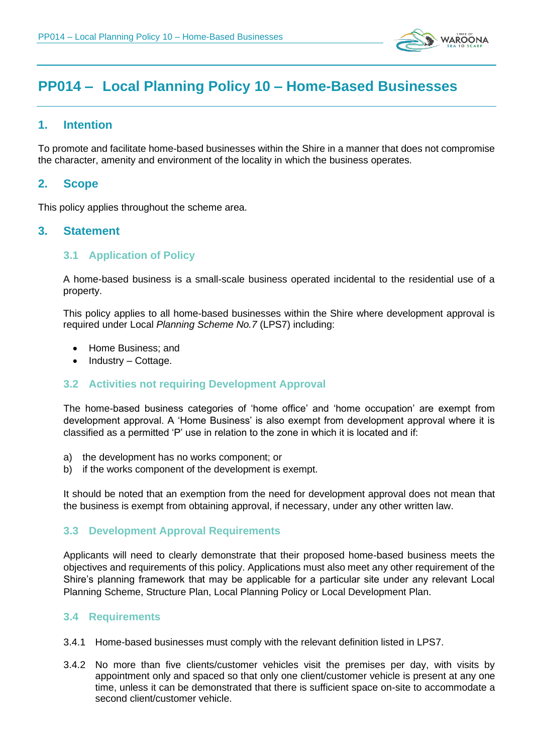

# **PP014 – Local Planning Policy 10 – Home-Based Businesses**

## **1. Intention**

To promote and facilitate home-based businesses within the Shire in a manner that does not compromise the character, amenity and environment of the locality in which the business operates.

## **2. Scope**

This policy applies throughout the scheme area.

## **3. Statement**

## **3.1 Application of Policy**

A home-based business is a small-scale business operated incidental to the residential use of a property.

This policy applies to all home-based businesses within the Shire where development approval is required under Local *Planning Scheme No.7* (LPS7) including:

- Home Business; and
- Industry Cottage.

## **3.2 Activities not requiring Development Approval**

The home-based business categories of 'home office' and 'home occupation' are exempt from development approval. A 'Home Business' is also exempt from development approval where it is classified as a permitted 'P' use in relation to the zone in which it is located and if:

- a) the development has no works component; or
- b) if the works component of the development is exempt.

It should be noted that an exemption from the need for development approval does not mean that the business is exempt from obtaining approval, if necessary, under any other written law.

#### **3.3 Development Approval Requirements**

Applicants will need to clearly demonstrate that their proposed home-based business meets the objectives and requirements of this policy. Applications must also meet any other requirement of the Shire's planning framework that may be applicable for a particular site under any relevant Local Planning Scheme, Structure Plan, Local Planning Policy or Local Development Plan.

#### **3.4 Requirements**

- 3.4.1 Home-based businesses must comply with the relevant definition listed in LPS7.
- 3.4.2 No more than five clients/customer vehicles visit the premises per day, with visits by appointment only and spaced so that only one client/customer vehicle is present at any one time, unless it can be demonstrated that there is sufficient space on-site to accommodate a second client/customer vehicle.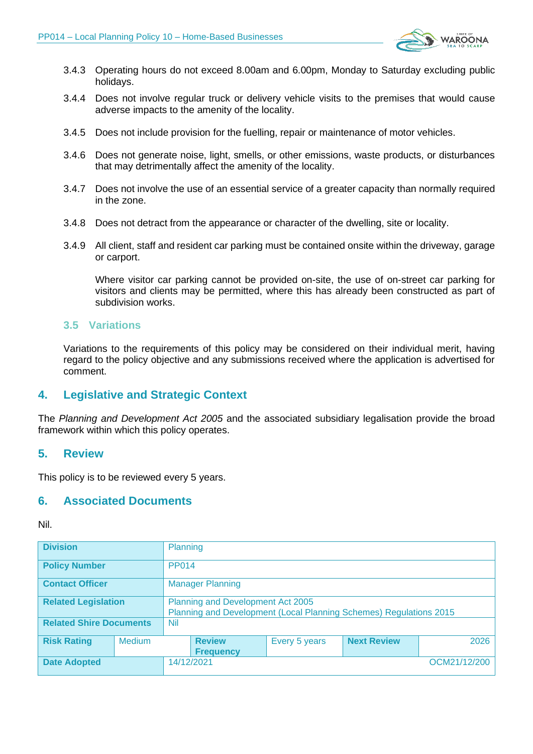

- 3.4.3 Operating hours do not exceed 8.00am and 6.00pm, Monday to Saturday excluding public holidays.
- 3.4.4 Does not involve regular truck or delivery vehicle visits to the premises that would cause adverse impacts to the amenity of the locality.
- 3.4.5 Does not include provision for the fuelling, repair or maintenance of motor vehicles.
- 3.4.6 Does not generate noise, light, smells, or other emissions, waste products, or disturbances that may detrimentally affect the amenity of the locality.
- 3.4.7 Does not involve the use of an essential service of a greater capacity than normally required in the zone.
- 3.4.8 Does not detract from the appearance or character of the dwelling, site or locality.
- 3.4.9 All client, staff and resident car parking must be contained onsite within the driveway, garage or carport.

Where visitor car parking cannot be provided on-site, the use of on-street car parking for visitors and clients may be permitted, where this has already been constructed as part of subdivision works.

#### **3.5 Variations**

Variations to the requirements of this policy may be considered on their individual merit, having regard to the policy objective and any submissions received where the application is advertised for comment.

## **4. Legislative and Strategic Context**

The *Planning and Development Act 2005* and the associated subsidiary legalisation provide the broad framework within which this policy operates.

#### **5. Review**

This policy is to be reviewed every 5 years.

## **6. Associated Documents**

Nil.

| <b>Division</b>                |               | Planning                                                                                                |                                   |               |                    |      |
|--------------------------------|---------------|---------------------------------------------------------------------------------------------------------|-----------------------------------|---------------|--------------------|------|
| <b>Policy Number</b>           |               | <b>PP014</b>                                                                                            |                                   |               |                    |      |
| <b>Contact Officer</b>         |               | <b>Manager Planning</b>                                                                                 |                                   |               |                    |      |
| <b>Related Legislation</b>     |               | Planning and Development Act 2005<br>Planning and Development (Local Planning Schemes) Regulations 2015 |                                   |               |                    |      |
| <b>Related Shire Documents</b> |               | <b>Nil</b>                                                                                              |                                   |               |                    |      |
| <b>Risk Rating</b>             | <b>Medium</b> |                                                                                                         | <b>Review</b><br><b>Frequency</b> | Every 5 years | <b>Next Review</b> | 2026 |
| <b>Date Adopted</b>            |               |                                                                                                         | 14/12/2021<br>OCM21/12/200        |               |                    |      |